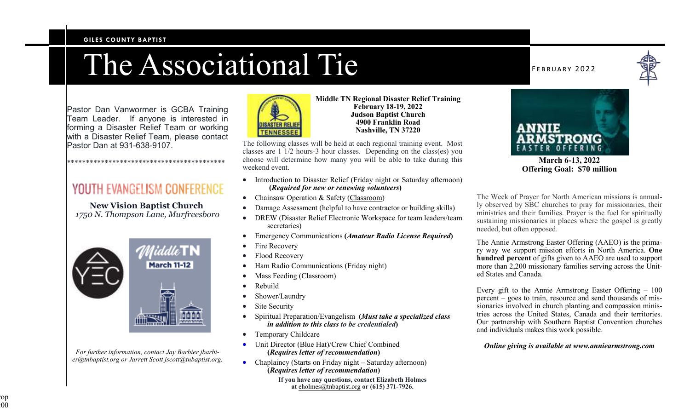#### **GILES COUNTY BAPTIST**

# The Associational Tie

Pastor Dan Vanwormer is GCBA Training Team Leader. If anyone is interested in forming a Disaster Relief Team or working with a Disaster Relief Team, please contact Pastor Dan at 931-638-9107.

# YOUTH EVANGELISM CONFERENCE

\*\*\*\*\*\*\*\*\*\*\*\*\*\*\*\*\*\*\*\*\*\*\*\*\*\*\*\*\*\*\*\*\*\*\*\*\*\*\*\*\*\*

**New Vision Baptist Church** *1750 N. Thompson Lane, Murfreesboro* 



*For further information, contact Jay Barbier jbarbier@tnbaptist.org or Jarrett Scott jscott@tnbaptist.org.* 



**Middle TN Regional Disaster Relief Training February 18-19, 2022 Judson Baptist Church 4900 Franklin Road Nashville, TN 37220**

The following classes will be held at each regional training event. Most classes are 1 1/2 hours-3 hour classes. Depending on the class(es) you choose will determine how many you will be able to take during this weekend event.

- Introduction to Disaster Relief (Friday night or Saturday afternoon) **(***Required for new or renewing volunteers***)**
- Chainsaw Operation & Safety (Classroom)
- Damage Assessment (helpful to have contractor or building skills)
- DREW (Disaster Relief Electronic Workspace for team leaders/team secretaries)
- Emergency Communications **(***Amateur Radio License Required***)**
- Fire Recovery
- Flood Recovery
- Ham Radio Communications (Friday night)
- Mass Feeding (Classroom)
- Rebuild
- Shower/Laundry
- Site Security
- Spiritual Preparation/Evangelism **(***Must take a specialized class in addition to this class to be credentialed***)**
- Temporary Childcare
- Unit Director (Blue Hat)/Crew Chief Combined **(***Requires letter of recommendation***)**
- Chaplaincy (Starts on Friday night Saturday afternoon) **(***Requires letter of recommendation***)**

**If you have any questions, contact Elizabeth Holmesat** eholmes@tnbaptist.org **or (615) 371-7926.**

#### FEBRUARY 2022





**March 6-13, 2022 Offering Goal: \$70 million** 

The Week of Prayer for North American missions is annually observed by SBC churches to pray for missionaries, their ministries and their families. Prayer is the fuel for spiritually sustaining missionaries in places where the gospel is greatly needed, but often opposed.

The Annie Armstrong Easter Offering (AAEO) is the primary way we support mission efforts in North America. **One hundred percent** of gifts given to AAEO are used to support more than 2,200 missionary families serving across the United States and Canada.

Every gift to the Annie Armstrong Easter Offering – 100 percent – goes to train, resource and send thousands of missionaries involved in church planting and compassion ministries across the United States, Canada and their territories. Our partnership with Southern Baptist Convention churches and individuals makes this work possible.

#### *Online giving is available at www.anniearmstrong.com*

iop:  $0\overline{0}$  $100$